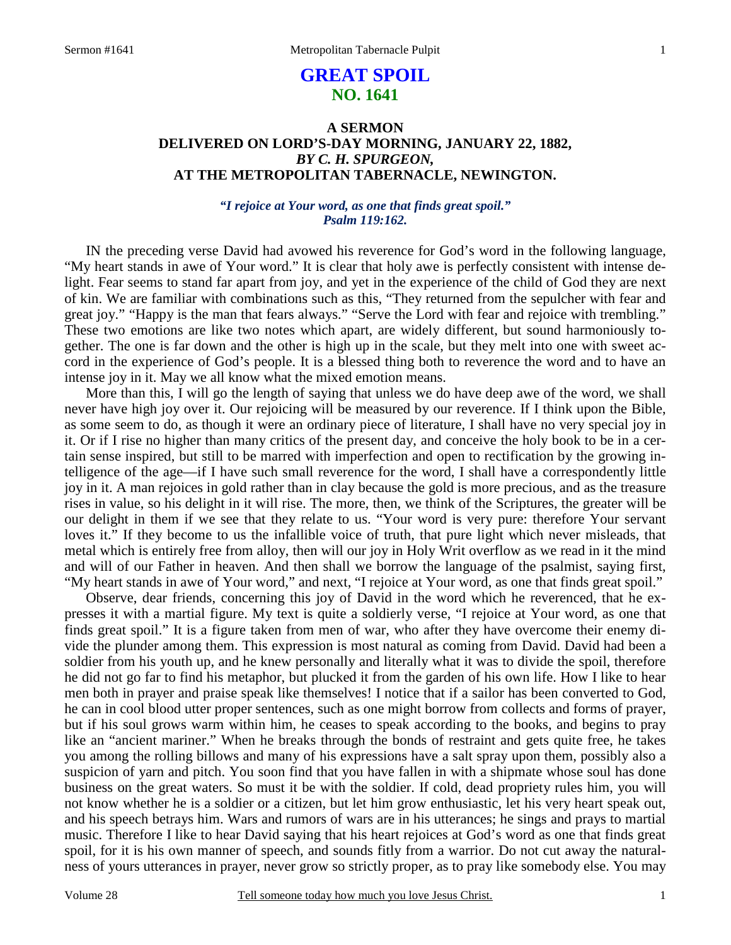# **GREAT SPOIL NO. 1641**

## **A SERMON DELIVERED ON LORD'S-DAY MORNING, JANUARY 22, 1882,**  *BY C. H. SPURGEON,*  **AT THE METROPOLITAN TABERNACLE, NEWINGTON.**

### *"I rejoice at Your word, as one that finds great spoil." Psalm 119:162.*

IN the preceding verse David had avowed his reverence for God's word in the following language, "My heart stands in awe of Your word." It is clear that holy awe is perfectly consistent with intense delight. Fear seems to stand far apart from joy, and yet in the experience of the child of God they are next of kin. We are familiar with combinations such as this, "They returned from the sepulcher with fear and great joy." "Happy is the man that fears always." "Serve the Lord with fear and rejoice with trembling." These two emotions are like two notes which apart, are widely different, but sound harmoniously together. The one is far down and the other is high up in the scale, but they melt into one with sweet accord in the experience of God's people. It is a blessed thing both to reverence the word and to have an intense joy in it. May we all know what the mixed emotion means.

 More than this, I will go the length of saying that unless we do have deep awe of the word, we shall never have high joy over it. Our rejoicing will be measured by our reverence. If I think upon the Bible, as some seem to do, as though it were an ordinary piece of literature, I shall have no very special joy in it. Or if I rise no higher than many critics of the present day, and conceive the holy book to be in a certain sense inspired, but still to be marred with imperfection and open to rectification by the growing intelligence of the age—if I have such small reverence for the word, I shall have a correspondently little joy in it. A man rejoices in gold rather than in clay because the gold is more precious, and as the treasure rises in value, so his delight in it will rise. The more, then, we think of the Scriptures, the greater will be our delight in them if we see that they relate to us. "Your word is very pure: therefore Your servant loves it." If they become to us the infallible voice of truth, that pure light which never misleads, that metal which is entirely free from alloy, then will our joy in Holy Writ overflow as we read in it the mind and will of our Father in heaven. And then shall we borrow the language of the psalmist, saying first, "My heart stands in awe of Your word," and next, "I rejoice at Your word, as one that finds great spoil."

 Observe, dear friends, concerning this joy of David in the word which he reverenced, that he expresses it with a martial figure. My text is quite a soldierly verse, "I rejoice at Your word, as one that finds great spoil." It is a figure taken from men of war, who after they have overcome their enemy divide the plunder among them. This expression is most natural as coming from David. David had been a soldier from his youth up, and he knew personally and literally what it was to divide the spoil, therefore he did not go far to find his metaphor, but plucked it from the garden of his own life. How I like to hear men both in prayer and praise speak like themselves! I notice that if a sailor has been converted to God, he can in cool blood utter proper sentences, such as one might borrow from collects and forms of prayer, but if his soul grows warm within him, he ceases to speak according to the books, and begins to pray like an "ancient mariner." When he breaks through the bonds of restraint and gets quite free, he takes you among the rolling billows and many of his expressions have a salt spray upon them, possibly also a suspicion of yarn and pitch. You soon find that you have fallen in with a shipmate whose soul has done business on the great waters. So must it be with the soldier. If cold, dead propriety rules him, you will not know whether he is a soldier or a citizen, but let him grow enthusiastic, let his very heart speak out, and his speech betrays him. Wars and rumors of wars are in his utterances; he sings and prays to martial music. Therefore I like to hear David saying that his heart rejoices at God's word as one that finds great spoil, for it is his own manner of speech, and sounds fitly from a warrior. Do not cut away the naturalness of yours utterances in prayer, never grow so strictly proper, as to pray like somebody else. You may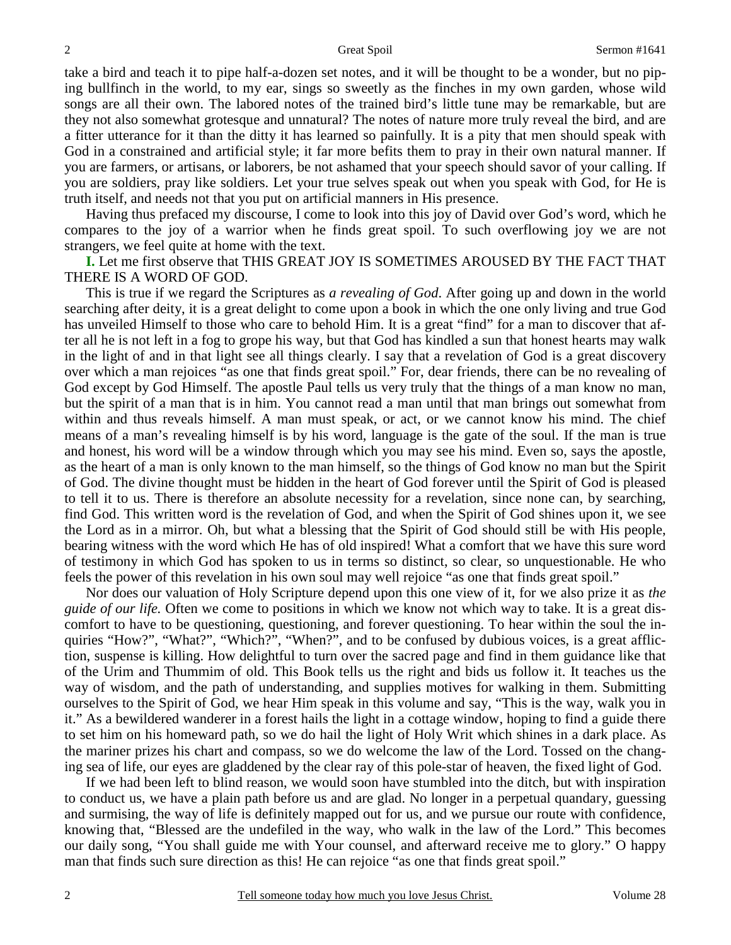take a bird and teach it to pipe half-a-dozen set notes, and it will be thought to be a wonder, but no piping bullfinch in the world, to my ear, sings so sweetly as the finches in my own garden, whose wild songs are all their own. The labored notes of the trained bird's little tune may be remarkable, but are they not also somewhat grotesque and unnatural? The notes of nature more truly reveal the bird, and are a fitter utterance for it than the ditty it has learned so painfully. It is a pity that men should speak with God in a constrained and artificial style; it far more befits them to pray in their own natural manner. If you are farmers, or artisans, or laborers, be not ashamed that your speech should savor of your calling. If you are soldiers, pray like soldiers. Let your true selves speak out when you speak with God, for He is truth itself, and needs not that you put on artificial manners in His presence.

 Having thus prefaced my discourse, I come to look into this joy of David over God's word, which he compares to the joy of a warrior when he finds great spoil. To such overflowing joy we are not strangers, we feel quite at home with the text.

**I.** Let me first observe that THIS GREAT JOY IS SOMETIMES AROUSED BY THE FACT THAT THERE IS A WORD OF GOD.

 This is true if we regard the Scriptures as *a revealing of God*. After going up and down in the world searching after deity, it is a great delight to come upon a book in which the one only living and true God has unveiled Himself to those who care to behold Him. It is a great "find" for a man to discover that after all he is not left in a fog to grope his way, but that God has kindled a sun that honest hearts may walk in the light of and in that light see all things clearly. I say that a revelation of God is a great discovery over which a man rejoices "as one that finds great spoil." For, dear friends, there can be no revealing of God except by God Himself. The apostle Paul tells us very truly that the things of a man know no man, but the spirit of a man that is in him. You cannot read a man until that man brings out somewhat from within and thus reveals himself. A man must speak, or act, or we cannot know his mind. The chief means of a man's revealing himself is by his word, language is the gate of the soul. If the man is true and honest, his word will be a window through which you may see his mind. Even so, says the apostle, as the heart of a man is only known to the man himself, so the things of God know no man but the Spirit of God. The divine thought must be hidden in the heart of God forever until the Spirit of God is pleased to tell it to us. There is therefore an absolute necessity for a revelation, since none can, by searching, find God. This written word is the revelation of God, and when the Spirit of God shines upon it, we see the Lord as in a mirror. Oh, but what a blessing that the Spirit of God should still be with His people, bearing witness with the word which He has of old inspired! What a comfort that we have this sure word of testimony in which God has spoken to us in terms so distinct, so clear, so unquestionable. He who feels the power of this revelation in his own soul may well rejoice "as one that finds great spoil."

 Nor does our valuation of Holy Scripture depend upon this one view of it, for we also prize it as *the guide of our life.* Often we come to positions in which we know not which way to take. It is a great discomfort to have to be questioning, questioning, and forever questioning. To hear within the soul the inquiries "How?", "What?", "Which?", "When?", and to be confused by dubious voices, is a great affliction, suspense is killing. How delightful to turn over the sacred page and find in them guidance like that of the Urim and Thummim of old. This Book tells us the right and bids us follow it. It teaches us the way of wisdom, and the path of understanding, and supplies motives for walking in them. Submitting ourselves to the Spirit of God, we hear Him speak in this volume and say, "This is the way, walk you in it." As a bewildered wanderer in a forest hails the light in a cottage window, hoping to find a guide there to set him on his homeward path, so we do hail the light of Holy Writ which shines in a dark place. As the mariner prizes his chart and compass, so we do welcome the law of the Lord. Tossed on the changing sea of life, our eyes are gladdened by the clear ray of this pole-star of heaven, the fixed light of God.

 If we had been left to blind reason, we would soon have stumbled into the ditch, but with inspiration to conduct us, we have a plain path before us and are glad. No longer in a perpetual quandary, guessing and surmising, the way of life is definitely mapped out for us, and we pursue our route with confidence, knowing that, "Blessed are the undefiled in the way, who walk in the law of the Lord." This becomes our daily song, "You shall guide me with Your counsel, and afterward receive me to glory." O happy man that finds such sure direction as this! He can rejoice "as one that finds great spoil."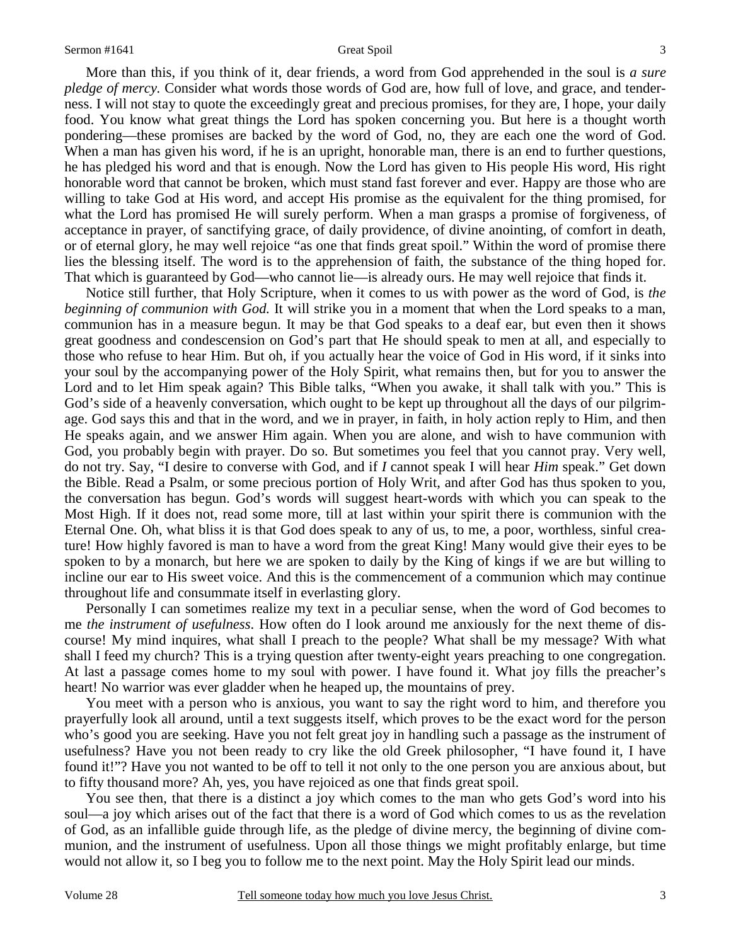More than this, if you think of it, dear friends, a word from God apprehended in the soul is *a sure pledge of mercy.* Consider what words those words of God are, how full of love, and grace, and tenderness. I will not stay to quote the exceedingly great and precious promises, for they are, I hope, your daily food. You know what great things the Lord has spoken concerning you. But here is a thought worth pondering—these promises are backed by the word of God, no, they are each one the word of God. When a man has given his word, if he is an upright, honorable man, there is an end to further questions, he has pledged his word and that is enough. Now the Lord has given to His people His word, His right honorable word that cannot be broken, which must stand fast forever and ever. Happy are those who are willing to take God at His word, and accept His promise as the equivalent for the thing promised, for what the Lord has promised He will surely perform. When a man grasps a promise of forgiveness, of acceptance in prayer, of sanctifying grace, of daily providence, of divine anointing, of comfort in death, or of eternal glory, he may well rejoice "as one that finds great spoil." Within the word of promise there lies the blessing itself. The word is to the apprehension of faith, the substance of the thing hoped for. That which is guaranteed by God—who cannot lie—is already ours. He may well rejoice that finds it.

 Notice still further, that Holy Scripture, when it comes to us with power as the word of God, is *the beginning of communion with God.* It will strike you in a moment that when the Lord speaks to a man, communion has in a measure begun. It may be that God speaks to a deaf ear, but even then it shows great goodness and condescension on God's part that He should speak to men at all, and especially to those who refuse to hear Him. But oh, if you actually hear the voice of God in His word, if it sinks into your soul by the accompanying power of the Holy Spirit, what remains then, but for you to answer the Lord and to let Him speak again? This Bible talks, "When you awake, it shall talk with you." This is God's side of a heavenly conversation, which ought to be kept up throughout all the days of our pilgrimage. God says this and that in the word, and we in prayer, in faith, in holy action reply to Him, and then He speaks again, and we answer Him again. When you are alone, and wish to have communion with God, you probably begin with prayer. Do so. But sometimes you feel that you cannot pray. Very well, do not try. Say, "I desire to converse with God, and if *I* cannot speak I will hear *Him* speak." Get down the Bible. Read a Psalm, or some precious portion of Holy Writ, and after God has thus spoken to you, the conversation has begun. God's words will suggest heart-words with which you can speak to the Most High. If it does not, read some more, till at last within your spirit there is communion with the Eternal One. Oh, what bliss it is that God does speak to any of us, to me, a poor, worthless, sinful creature! How highly favored is man to have a word from the great King! Many would give their eyes to be spoken to by a monarch, but here we are spoken to daily by the King of kings if we are but willing to incline our ear to His sweet voice. And this is the commencement of a communion which may continue throughout life and consummate itself in everlasting glory.

 Personally I can sometimes realize my text in a peculiar sense, when the word of God becomes to me *the instrument of usefulness*. How often do I look around me anxiously for the next theme of discourse! My mind inquires, what shall I preach to the people? What shall be my message? With what shall I feed my church? This is a trying question after twenty-eight years preaching to one congregation. At last a passage comes home to my soul with power. I have found it. What joy fills the preacher's heart! No warrior was ever gladder when he heaped up, the mountains of prey.

 You meet with a person who is anxious, you want to say the right word to him, and therefore you prayerfully look all around, until a text suggests itself, which proves to be the exact word for the person who's good you are seeking. Have you not felt great joy in handling such a passage as the instrument of usefulness? Have you not been ready to cry like the old Greek philosopher, "I have found it, I have found it!"? Have you not wanted to be off to tell it not only to the one person you are anxious about, but to fifty thousand more? Ah, yes, you have rejoiced as one that finds great spoil.

 You see then, that there is a distinct a joy which comes to the man who gets God's word into his soul—a joy which arises out of the fact that there is a word of God which comes to us as the revelation of God, as an infallible guide through life, as the pledge of divine mercy, the beginning of divine communion, and the instrument of usefulness. Upon all those things we might profitably enlarge, but time would not allow it, so I beg you to follow me to the next point. May the Holy Spirit lead our minds.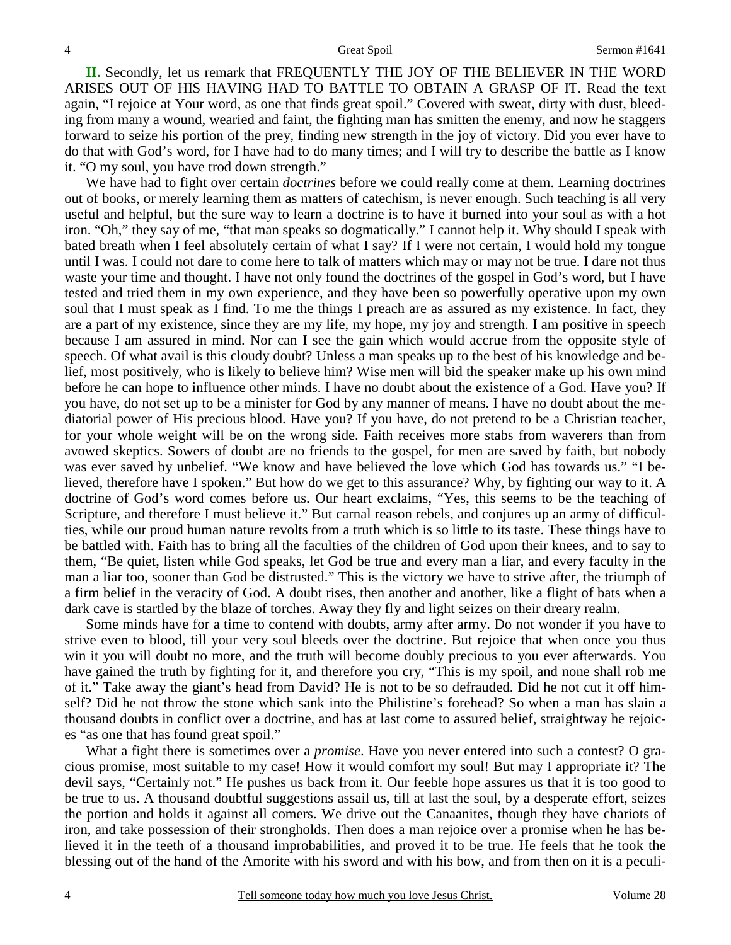**II.** Secondly, let us remark that FREQUENTLY THE JOY OF THE BELIEVER IN THE WORD ARISES OUT OF HIS HAVING HAD TO BATTLE TO OBTAIN A GRASP OF IT. Read the text again, "I rejoice at Your word, as one that finds great spoil." Covered with sweat, dirty with dust, bleeding from many a wound, wearied and faint, the fighting man has smitten the enemy, and now he staggers forward to seize his portion of the prey, finding new strength in the joy of victory. Did you ever have to do that with God's word, for I have had to do many times; and I will try to describe the battle as I know it. "O my soul, you have trod down strength."

 We have had to fight over certain *doctrines* before we could really come at them. Learning doctrines out of books, or merely learning them as matters of catechism, is never enough. Such teaching is all very useful and helpful, but the sure way to learn a doctrine is to have it burned into your soul as with a hot iron. "Oh," they say of me, "that man speaks so dogmatically." I cannot help it. Why should I speak with bated breath when I feel absolutely certain of what I say? If I were not certain, I would hold my tongue until I was. I could not dare to come here to talk of matters which may or may not be true. I dare not thus waste your time and thought. I have not only found the doctrines of the gospel in God's word, but I have tested and tried them in my own experience, and they have been so powerfully operative upon my own soul that I must speak as I find. To me the things I preach are as assured as my existence. In fact, they are a part of my existence, since they are my life, my hope, my joy and strength. I am positive in speech because I am assured in mind. Nor can I see the gain which would accrue from the opposite style of speech. Of what avail is this cloudy doubt? Unless a man speaks up to the best of his knowledge and belief, most positively, who is likely to believe him? Wise men will bid the speaker make up his own mind before he can hope to influence other minds. I have no doubt about the existence of a God. Have you? If you have, do not set up to be a minister for God by any manner of means. I have no doubt about the mediatorial power of His precious blood. Have you? If you have, do not pretend to be a Christian teacher, for your whole weight will be on the wrong side. Faith receives more stabs from waverers than from avowed skeptics. Sowers of doubt are no friends to the gospel, for men are saved by faith, but nobody was ever saved by unbelief. "We know and have believed the love which God has towards us." "I believed, therefore have I spoken." But how do we get to this assurance? Why, by fighting our way to it. A doctrine of God's word comes before us. Our heart exclaims, "Yes, this seems to be the teaching of Scripture, and therefore I must believe it." But carnal reason rebels, and conjures up an army of difficulties, while our proud human nature revolts from a truth which is so little to its taste. These things have to be battled with. Faith has to bring all the faculties of the children of God upon their knees, and to say to them, "Be quiet, listen while God speaks, let God be true and every man a liar, and every faculty in the man a liar too, sooner than God be distrusted." This is the victory we have to strive after, the triumph of a firm belief in the veracity of God. A doubt rises, then another and another, like a flight of bats when a dark cave is startled by the blaze of torches. Away they fly and light seizes on their dreary realm.

 Some minds have for a time to contend with doubts, army after army. Do not wonder if you have to strive even to blood, till your very soul bleeds over the doctrine. But rejoice that when once you thus win it you will doubt no more, and the truth will become doubly precious to you ever afterwards. You have gained the truth by fighting for it, and therefore you cry, "This is my spoil, and none shall rob me of it." Take away the giant's head from David? He is not to be so defrauded. Did he not cut it off himself? Did he not throw the stone which sank into the Philistine's forehead? So when a man has slain a thousand doubts in conflict over a doctrine, and has at last come to assured belief, straightway he rejoices "as one that has found great spoil."

 What a fight there is sometimes over a *promise*. Have you never entered into such a contest? O gracious promise, most suitable to my case! How it would comfort my soul! But may I appropriate it? The devil says, "Certainly not." He pushes us back from it. Our feeble hope assures us that it is too good to be true to us. A thousand doubtful suggestions assail us, till at last the soul, by a desperate effort, seizes the portion and holds it against all comers. We drive out the Canaanites, though they have chariots of iron, and take possession of their strongholds. Then does a man rejoice over a promise when he has believed it in the teeth of a thousand improbabilities, and proved it to be true. He feels that he took the blessing out of the hand of the Amorite with his sword and with his bow, and from then on it is a peculi-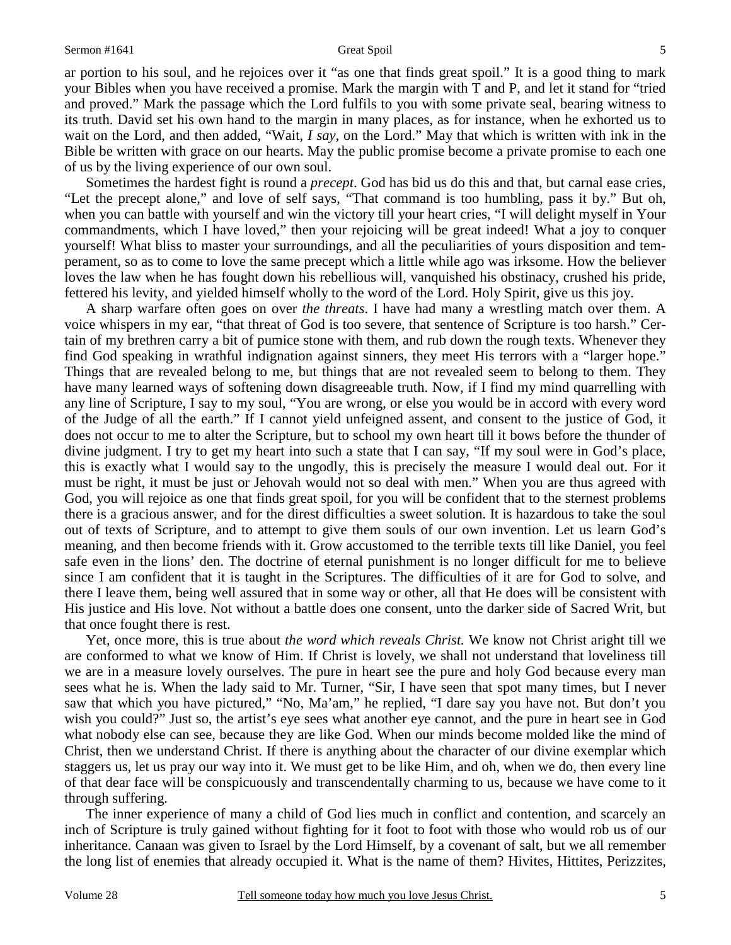ar portion to his soul, and he rejoices over it "as one that finds great spoil." It is a good thing to mark your Bibles when you have received a promise. Mark the margin with T and P, and let it stand for "tried and proved." Mark the passage which the Lord fulfils to you with some private seal, bearing witness to its truth. David set his own hand to the margin in many places, as for instance, when he exhorted us to wait on the Lord, and then added, "Wait, *I say,* on the Lord." May that which is written with ink in the Bible be written with grace on our hearts. May the public promise become a private promise to each one of us by the living experience of our own soul.

 Sometimes the hardest fight is round a *precept*. God has bid us do this and that, but carnal ease cries, "Let the precept alone," and love of self says, "That command is too humbling, pass it by." But oh, when you can battle with yourself and win the victory till your heart cries, "I will delight myself in Your commandments, which I have loved," then your rejoicing will be great indeed! What a joy to conquer yourself! What bliss to master your surroundings, and all the peculiarities of yours disposition and temperament, so as to come to love the same precept which a little while ago was irksome. How the believer loves the law when he has fought down his rebellious will, vanquished his obstinacy, crushed his pride, fettered his levity, and yielded himself wholly to the word of the Lord. Holy Spirit, give us this joy.

 A sharp warfare often goes on over *the threats*. I have had many a wrestling match over them. A voice whispers in my ear, "that threat of God is too severe, that sentence of Scripture is too harsh." Certain of my brethren carry a bit of pumice stone with them, and rub down the rough texts. Whenever they find God speaking in wrathful indignation against sinners, they meet His terrors with a "larger hope." Things that are revealed belong to me, but things that are not revealed seem to belong to them. They have many learned ways of softening down disagreeable truth. Now, if I find my mind quarrelling with any line of Scripture, I say to my soul, "You are wrong, or else you would be in accord with every word of the Judge of all the earth." If I cannot yield unfeigned assent, and consent to the justice of God, it does not occur to me to alter the Scripture, but to school my own heart till it bows before the thunder of divine judgment. I try to get my heart into such a state that I can say, "If my soul were in God's place, this is exactly what I would say to the ungodly, this is precisely the measure I would deal out. For it must be right, it must be just or Jehovah would not so deal with men." When you are thus agreed with God, you will rejoice as one that finds great spoil, for you will be confident that to the sternest problems there is a gracious answer, and for the direst difficulties a sweet solution. It is hazardous to take the soul out of texts of Scripture, and to attempt to give them souls of our own invention. Let us learn God's meaning, and then become friends with it. Grow accustomed to the terrible texts till like Daniel, you feel safe even in the lions' den. The doctrine of eternal punishment is no longer difficult for me to believe since I am confident that it is taught in the Scriptures. The difficulties of it are for God to solve, and there I leave them, being well assured that in some way or other, all that He does will be consistent with His justice and His love. Not without a battle does one consent, unto the darker side of Sacred Writ, but that once fought there is rest.

 Yet, once more, this is true about *the word which reveals Christ.* We know not Christ aright till we are conformed to what we know of Him. If Christ is lovely, we shall not understand that loveliness till we are in a measure lovely ourselves. The pure in heart see the pure and holy God because every man sees what he is. When the lady said to Mr. Turner, "Sir, I have seen that spot many times, but I never saw that which you have pictured," "No, Ma'am," he replied, "I dare say you have not. But don't you wish you could?" Just so, the artist's eye sees what another eye cannot, and the pure in heart see in God what nobody else can see, because they are like God. When our minds become molded like the mind of Christ, then we understand Christ. If there is anything about the character of our divine exemplar which staggers us, let us pray our way into it. We must get to be like Him, and oh, when we do, then every line of that dear face will be conspicuously and transcendentally charming to us, because we have come to it through suffering.

 The inner experience of many a child of God lies much in conflict and contention, and scarcely an inch of Scripture is truly gained without fighting for it foot to foot with those who would rob us of our inheritance. Canaan was given to Israel by the Lord Himself, by a covenant of salt, but we all remember the long list of enemies that already occupied it. What is the name of them? Hivites, Hittites, Perizzites,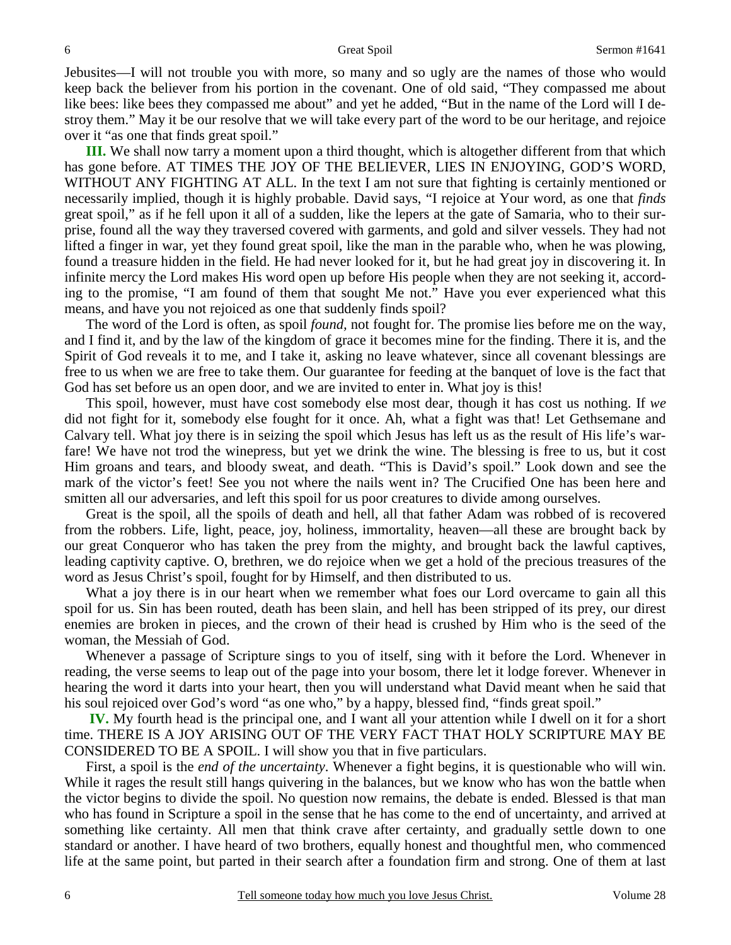Jebusites—I will not trouble you with more, so many and so ugly are the names of those who would keep back the believer from his portion in the covenant. One of old said, "They compassed me about like bees: like bees they compassed me about" and yet he added, "But in the name of the Lord will I destroy them." May it be our resolve that we will take every part of the word to be our heritage, and rejoice over it "as one that finds great spoil."

**III.** We shall now tarry a moment upon a third thought, which is altogether different from that which has gone before. AT TIMES THE JOY OF THE BELIEVER, LIES IN ENJOYING, GOD'S WORD, WITHOUT ANY FIGHTING AT ALL. In the text I am not sure that fighting is certainly mentioned or necessarily implied, though it is highly probable. David says, "I rejoice at Your word, as one that *finds* great spoil," as if he fell upon it all of a sudden, like the lepers at the gate of Samaria, who to their surprise, found all the way they traversed covered with garments, and gold and silver vessels. They had not lifted a finger in war, yet they found great spoil, like the man in the parable who, when he was plowing, found a treasure hidden in the field. He had never looked for it, but he had great joy in discovering it. In infinite mercy the Lord makes His word open up before His people when they are not seeking it, according to the promise, "I am found of them that sought Me not." Have you ever experienced what this means, and have you not rejoiced as one that suddenly finds spoil?

 The word of the Lord is often, as spoil *found,* not fought for. The promise lies before me on the way, and I find it, and by the law of the kingdom of grace it becomes mine for the finding. There it is, and the Spirit of God reveals it to me, and I take it, asking no leave whatever, since all covenant blessings are free to us when we are free to take them. Our guarantee for feeding at the banquet of love is the fact that God has set before us an open door, and we are invited to enter in. What joy is this!

 This spoil, however, must have cost somebody else most dear, though it has cost us nothing. If *we* did not fight for it, somebody else fought for it once. Ah, what a fight was that! Let Gethsemane and Calvary tell. What joy there is in seizing the spoil which Jesus has left us as the result of His life's warfare! We have not trod the winepress, but yet we drink the wine. The blessing is free to us, but it cost Him groans and tears, and bloody sweat, and death. "This is David's spoil." Look down and see the mark of the victor's feet! See you not where the nails went in? The Crucified One has been here and smitten all our adversaries, and left this spoil for us poor creatures to divide among ourselves.

 Great is the spoil, all the spoils of death and hell, all that father Adam was robbed of is recovered from the robbers. Life, light, peace, joy, holiness, immortality, heaven—all these are brought back by our great Conqueror who has taken the prey from the mighty, and brought back the lawful captives, leading captivity captive. O, brethren, we do rejoice when we get a hold of the precious treasures of the word as Jesus Christ's spoil, fought for by Himself, and then distributed to us.

What a joy there is in our heart when we remember what foes our Lord overcame to gain all this spoil for us. Sin has been routed, death has been slain, and hell has been stripped of its prey, our direst enemies are broken in pieces, and the crown of their head is crushed by Him who is the seed of the woman, the Messiah of God.

 Whenever a passage of Scripture sings to you of itself, sing with it before the Lord. Whenever in reading, the verse seems to leap out of the page into your bosom, there let it lodge forever. Whenever in hearing the word it darts into your heart, then you will understand what David meant when he said that his soul rejoiced over God's word "as one who," by a happy, blessed find, "finds great spoil."

 **IV.** My fourth head is the principal one, and I want all your attention while I dwell on it for a short time. THERE IS A JOY ARISING OUT OF THE VERY FACT THAT HOLY SCRIPTURE MAY BE CONSIDERED TO BE A SPOIL. I will show you that in five particulars.

 First, a spoil is the *end of the uncertainty*. Whenever a fight begins, it is questionable who will win. While it rages the result still hangs quivering in the balances, but we know who has won the battle when the victor begins to divide the spoil. No question now remains, the debate is ended. Blessed is that man who has found in Scripture a spoil in the sense that he has come to the end of uncertainty, and arrived at something like certainty. All men that think crave after certainty, and gradually settle down to one standard or another. I have heard of two brothers, equally honest and thoughtful men, who commenced life at the same point, but parted in their search after a foundation firm and strong. One of them at last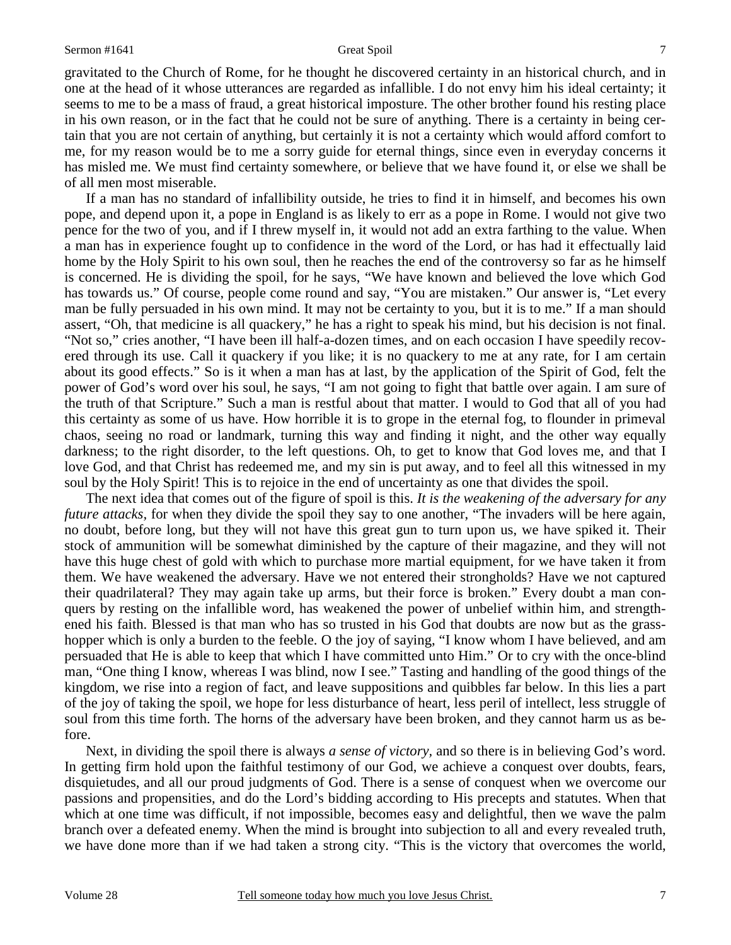gravitated to the Church of Rome, for he thought he discovered certainty in an historical church, and in one at the head of it whose utterances are regarded as infallible. I do not envy him his ideal certainty; it seems to me to be a mass of fraud, a great historical imposture. The other brother found his resting place in his own reason, or in the fact that he could not be sure of anything. There is a certainty in being certain that you are not certain of anything, but certainly it is not a certainty which would afford comfort to me, for my reason would be to me a sorry guide for eternal things, since even in everyday concerns it has misled me. We must find certainty somewhere, or believe that we have found it, or else we shall be of all men most miserable.

 If a man has no standard of infallibility outside, he tries to find it in himself, and becomes his own pope, and depend upon it, a pope in England is as likely to err as a pope in Rome. I would not give two pence for the two of you, and if I threw myself in, it would not add an extra farthing to the value. When a man has in experience fought up to confidence in the word of the Lord, or has had it effectually laid home by the Holy Spirit to his own soul, then he reaches the end of the controversy so far as he himself is concerned. He is dividing the spoil, for he says, "We have known and believed the love which God has towards us." Of course, people come round and say, "You are mistaken." Our answer is, "Let every man be fully persuaded in his own mind. It may not be certainty to you, but it is to me." If a man should assert, "Oh, that medicine is all quackery," he has a right to speak his mind, but his decision is not final. "Not so," cries another, "I have been ill half-a-dozen times, and on each occasion I have speedily recovered through its use. Call it quackery if you like; it is no quackery to me at any rate, for I am certain about its good effects." So is it when a man has at last, by the application of the Spirit of God, felt the power of God's word over his soul, he says, "I am not going to fight that battle over again. I am sure of the truth of that Scripture." Such a man is restful about that matter. I would to God that all of you had this certainty as some of us have. How horrible it is to grope in the eternal fog, to flounder in primeval chaos, seeing no road or landmark, turning this way and finding it night, and the other way equally darkness; to the right disorder, to the left questions. Oh, to get to know that God loves me, and that I love God, and that Christ has redeemed me, and my sin is put away, and to feel all this witnessed in my soul by the Holy Spirit! This is to rejoice in the end of uncertainty as one that divides the spoil.

 The next idea that comes out of the figure of spoil is this. *It is the weakening of the adversary for any future attacks*, for when they divide the spoil they say to one another, "The invaders will be here again, no doubt, before long, but they will not have this great gun to turn upon us, we have spiked it. Their stock of ammunition will be somewhat diminished by the capture of their magazine, and they will not have this huge chest of gold with which to purchase more martial equipment, for we have taken it from them. We have weakened the adversary. Have we not entered their strongholds? Have we not captured their quadrilateral? They may again take up arms, but their force is broken." Every doubt a man conquers by resting on the infallible word, has weakened the power of unbelief within him, and strengthened his faith. Blessed is that man who has so trusted in his God that doubts are now but as the grasshopper which is only a burden to the feeble. O the joy of saying, "I know whom I have believed, and am persuaded that He is able to keep that which I have committed unto Him." Or to cry with the once-blind man, "One thing I know, whereas I was blind, now I see." Tasting and handling of the good things of the kingdom, we rise into a region of fact, and leave suppositions and quibbles far below. In this lies a part of the joy of taking the spoil, we hope for less disturbance of heart, less peril of intellect, less struggle of soul from this time forth. The horns of the adversary have been broken, and they cannot harm us as before.

 Next, in dividing the spoil there is always *a sense of victory,* and so there is in believing God's word. In getting firm hold upon the faithful testimony of our God, we achieve a conquest over doubts, fears, disquietudes, and all our proud judgments of God. There is a sense of conquest when we overcome our passions and propensities, and do the Lord's bidding according to His precepts and statutes. When that which at one time was difficult, if not impossible, becomes easy and delightful, then we wave the palm branch over a defeated enemy. When the mind is brought into subjection to all and every revealed truth, we have done more than if we had taken a strong city. "This is the victory that overcomes the world,